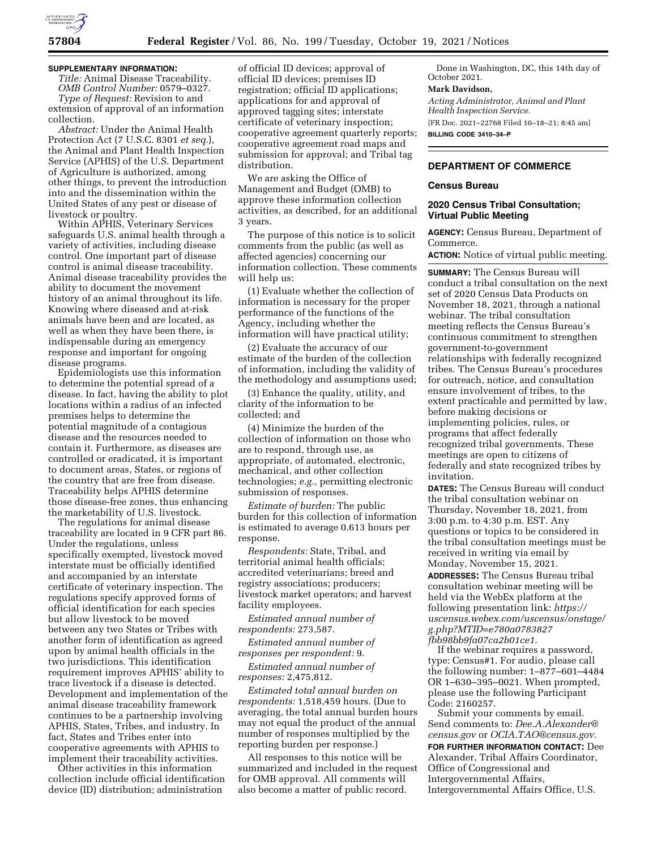

### **SUPPLEMENTARY INFORMATION:**

*Title:* Animal Disease Traceability. *OMB Control Number:* 0579–0327. *Type of Request:* Revision to and extension of approval of an information collection.

*Abstract:* Under the Animal Health Protection Act (7 U.S.C. 8301 *et seq.*), the Animal and Plant Health Inspection Service (APHIS) of the U.S. Department of Agriculture is authorized, among other things, to prevent the introduction into and the dissemination within the United States of any pest or disease of livestock or poultry.

Within APHIS, Veterinary Services safeguards U.S. animal health through a variety of activities, including disease control. One important part of disease control is animal disease traceability. Animal disease traceability provides the ability to document the movement history of an animal throughout its life. Knowing where diseased and at-risk animals have been and are located, as well as when they have been there, is indispensable during an emergency response and important for ongoing disease programs.

Epidemiologists use this information to determine the potential spread of a disease. In fact, having the ability to plot locations within a radius of an infected premises helps to determine the potential magnitude of a contagious disease and the resources needed to contain it. Furthermore, as diseases are controlled or eradicated, it is important to document areas, States, or regions of the country that are free from disease. Traceability helps APHIS determine those disease-free zones, thus enhancing the marketability of U.S. livestock.

The regulations for animal disease traceability are located in 9 CFR part 86. Under the regulations, unless specifically exempted, livestock moved interstate must be officially identified and accompanied by an interstate certificate of veterinary inspection. The regulations specify approved forms of official identification for each species but allow livestock to be moved between any two States or Tribes with another form of identification as agreed upon by animal health officials in the two jurisdictions. This identification requirement improves APHIS' ability to trace livestock if a disease is detected. Development and implementation of the animal disease traceability framework continues to be a partnership involving APHIS, States, Tribes, and industry. In fact, States and Tribes enter into cooperative agreements with APHIS to implement their traceability activities.

Other activities in this information collection include official identification device (ID) distribution; administration

of official ID devices; approval of official ID devices; premises ID registration; official ID applications; applications for and approval of approved tagging sites; interstate certificate of veterinary inspection; cooperative agreement quarterly reports; cooperative agreement road maps and submission for approval; and Tribal tag distribution.

We are asking the Office of Management and Budget (OMB) to approve these information collection activities, as described, for an additional 3 years.

The purpose of this notice is to solicit comments from the public (as well as affected agencies) concerning our information collection. These comments will help us:

(1) Evaluate whether the collection of information is necessary for the proper performance of the functions of the Agency, including whether the information will have practical utility;

(2) Evaluate the accuracy of our estimate of the burden of the collection of information, including the validity of the methodology and assumptions used;

(3) Enhance the quality, utility, and clarity of the information to be collected; and

(4) Minimize the burden of the collection of information on those who are to respond, through use, as appropriate, of automated, electronic, mechanical, and other collection technologies; *e.g.,* permitting electronic submission of responses.

*Estimate of burden:* The public burden for this collection of information is estimated to average 0.613 hours per response.

*Respondents:* State, Tribal, and territorial animal health officials; accredited veterinarians; breed and registry associations; producers; livestock market operators; and harvest facility employees.

*Estimated annual number of respondents:* 273,587.

*Estimated annual number of responses per respondent:* 9.

*Estimated annual number of responses:* 2,475,812.

*Estimated total annual burden on respondents:* 1,518,459 hours. (Due to averaging, the total annual burden hours may not equal the product of the annual number of responses multiplied by the reporting burden per response.)

All responses to this notice will be summarized and included in the request for OMB approval. All comments will also become a matter of public record.

Done in Washington, DC, this 14th day of October 2021.

# **Mark Davidson,**

*Acting Administrator, Animal and Plant Health Inspection Service.*  [FR Doc. 2021–22768 Filed 10–18–21; 8:45 am]

**BILLING CODE 3410–34–P** 

# **DEPARTMENT OF COMMERCE**

#### **Census Bureau**

## **2020 Census Tribal Consultation; Virtual Public Meeting**

**AGENCY:** Census Bureau, Department of Commerce.

**ACTION:** Notice of virtual public meeting.

**SUMMARY:** The Census Bureau will conduct a tribal consultation on the next set of 2020 Census Data Products on November 18, 2021, through a national webinar. The tribal consultation meeting reflects the Census Bureau's continuous commitment to strengthen government-to-government relationships with federally recognized tribes. The Census Bureau's procedures for outreach, notice, and consultation ensure involvement of tribes, to the extent practicable and permitted by law, before making decisions or implementing policies, rules, or programs that affect federally recognized tribal governments. These meetings are open to citizens of federally and state recognized tribes by invitation.

**DATES:** The Census Bureau will conduct the tribal consultation webinar on Thursday, November 18, 2021, from 3:00 p.m. to 4:30 p.m. EST. Any questions or topics to be considered in the tribal consultation meetings must be received in writing via email by Monday, November 15, 2021.

**ADDRESSES:** The Census Bureau tribal consultation webinar meeting will be held via the WebEx platform at the following presentation link: *[https://](https://uscensus.webex.com/uscensus/onstage/g.php?MTID=e780a0783827fbb98bb9fa07ca2b01ce1) [uscensus.webex.com/uscensus/onstage/](https://uscensus.webex.com/uscensus/onstage/g.php?MTID=e780a0783827fbb98bb9fa07ca2b01ce1) [g.php?MTID=e780a0783827](https://uscensus.webex.com/uscensus/onstage/g.php?MTID=e780a0783827fbb98bb9fa07ca2b01ce1) [fbb98bb9fa07ca2b01ce1](https://uscensus.webex.com/uscensus/onstage/g.php?MTID=e780a0783827fbb98bb9fa07ca2b01ce1)*.

If the webinar requires a password, type: Census#1. For audio, please call the following number: 1–877–601–4484 OR 1–630–395–0021. When prompted, please use the following Participant Code: 2160257.

Submit your comments by email. Send comments to: *[Dee.A.Alexander@](mailto:Dee.A.Alexander@census.gov) [census.gov](mailto:Dee.A.Alexander@census.gov)* or *[OCIA.TAO@census.gov](mailto:OCIA.TAO@census.gov)*.

**FOR FURTHER INFORMATION CONTACT:** Dee Alexander, Tribal Affairs Coordinator, Office of Congressional and Intergovernmental Affairs, Intergovernmental Affairs Office, U.S.